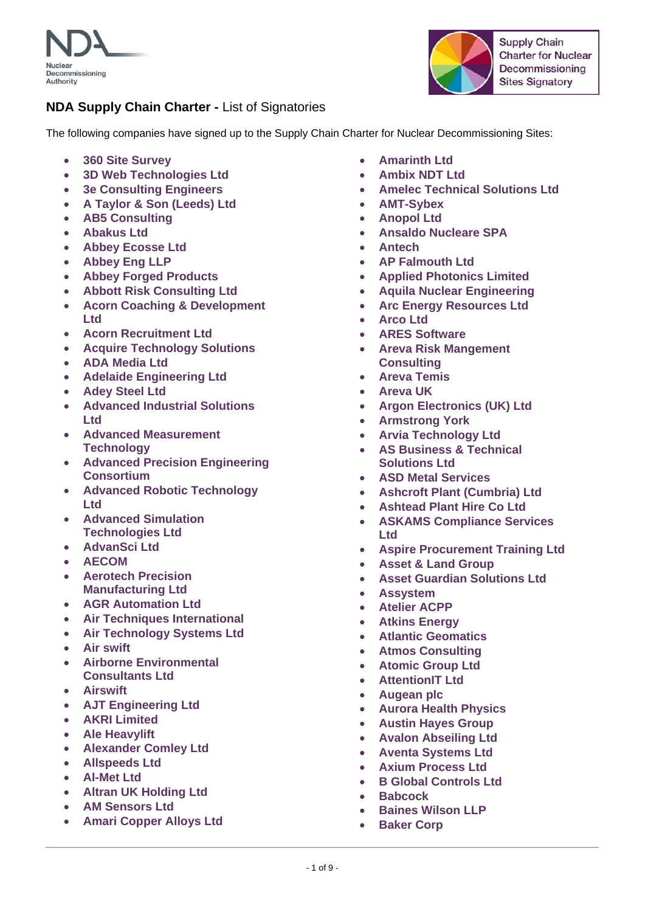



The following companies have signed up to the Supply Chain Charter for Nuclear Decommissioning Sites:

- **360 Site Survey**
- **3D Web Technologies Ltd**
- **3e Consulting Engineers**
- **A Taylor & Son (Leeds) Ltd**
- **AB5 Consulting**
- **Abakus Ltd**
- **Abbey Ecosse Ltd**
- **Abbey Eng LLP**
- **Abbey Forged Products**
- **Abbott Risk Consulting Ltd**
- **Acorn Coaching & Development Ltd**
- **Acorn Recruitment Ltd**
- **Acquire Technology Solutions**
- **ADA Media Ltd**
- **Adelaide Engineering Ltd**
- **Adey Steel Ltd**
- **Advanced Industrial Solutions Ltd**
- **Advanced Measurement Technology**
- **Advanced Precision Engineering Consortium**
- **Advanced Robotic Technology Ltd**
- **Advanced Simulation Technologies Ltd**
- **AdvanSci Ltd**
- **AECOM**
- **Aerotech Precision Manufacturing Ltd**
- **AGR Automation Ltd**
- **Air Techniques International**
- **Air Technology Systems Ltd**
- **Air swift**
- **Airborne Environmental Consultants Ltd**
- **Airswift**
- **AJT Engineering Ltd**
- **AKRI Limited**
- **Ale Heavylift**
- **Alexander Comley Ltd**
- **Allspeeds Ltd**
- **Al-Met Ltd**
- **Altran UK Holding Ltd**
- **AM Sensors Ltd**
- **Amari Copper Alloys Ltd**
- **Amarinth Ltd**
- **Ambix NDT Ltd**
- **Amelec Technical Solutions Ltd**
- **AMT-Sybex**
- **Anopol Ltd**
- **Ansaldo Nucleare SPA**
- **Antech**
- **AP Falmouth Ltd**
- **Applied Photonics Limited**
- **Aquila Nuclear Engineering**
- **Arc Energy Resources Ltd**
- **Arco Ltd**
- **ARES Software**
- **Areva Risk Mangement Consulting**
- **Areva Temis**
- **Areva UK**
- **Argon Electronics (UK) Ltd**
- **Armstrong York**
- **Arvia Technology Ltd**
- **AS Business & Technical Solutions Ltd**
- **ASD Metal Services**
- **Ashcroft Plant (Cumbria) Ltd**
- **Ashtead Plant Hire Co Ltd**
- **ASKAMS Compliance Services Ltd**
- **Aspire Procurement Training Ltd**
- **Asset & Land Group**
- **Asset Guardian Solutions Ltd**
- **Assystem**
- **Atelier ACPP**
- **Atkins Energy**
- **Atlantic Geomatics**
- **Atmos Consulting**
- **Atomic Group Ltd**
- **AttentionIT Ltd**
- **Augean plc**
- **Aurora Health Physics**
- **Austin Hayes Group**
- **Avalon Abseiling Ltd**
- **Aventa Systems Ltd**
- **Axium Process Ltd**
- **B Global Controls Ltd**
- **Babcock**
- **Baines Wilson LLP**
- **Baker Corp**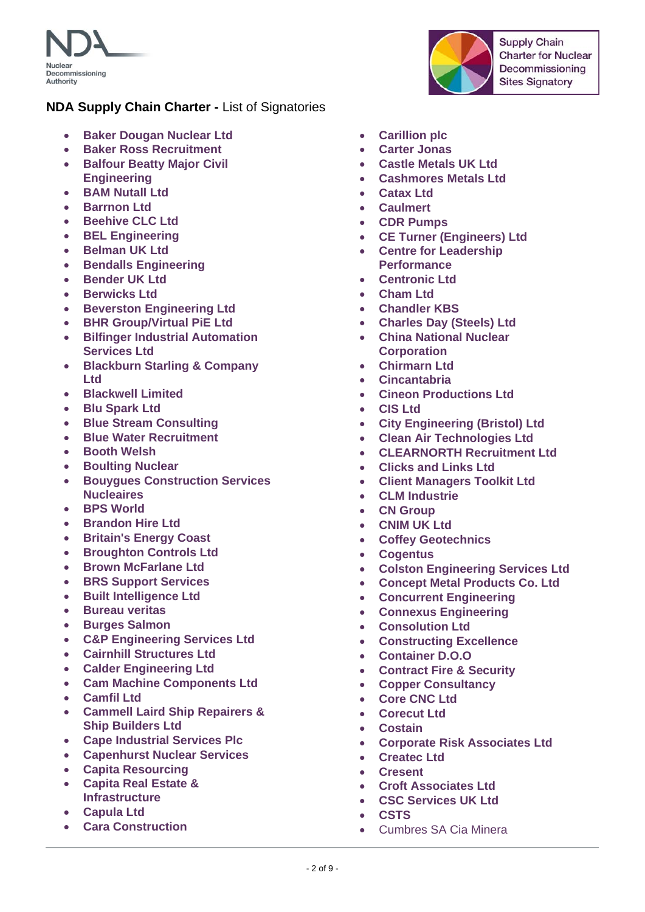



- **Baker Dougan Nuclear Ltd**
- **Baker Ross Recruitment**
- **Balfour Beatty Major Civil Engineering**
- **BAM Nutall Ltd**
- **Barrnon Ltd**
- **Beehive CLC Ltd**
- **BEL Engineering**
- **Belman UK Ltd**
- **•** Bendalls Engineering
- **Bender UK Ltd**
- **Berwicks Ltd**
- **Beverston Engineering Ltd**
- **BHR Group/Virtual PiE Ltd**
- **Bilfinger Industrial Automation Services Ltd**
- **Blackburn Starling & Company Ltd**
- **Blackwell Limited**
- **Blu Spark Ltd**
- **Blue Stream Consulting**
- **Blue Water Recruitment**
- **Booth Welsh**
- **Boulting Nuclear**
- **Bouygues Construction Services Nucleaires**
- **BPS World**
- **Brandon Hire Ltd**
- **Britain's Energy Coast**
- **Broughton Controls Ltd**
- **Brown McFarlane Ltd**
- **BRS Support Services**
- **Built Intelligence Ltd**
- **Bureau veritas**
- **Burges Salmon**
- **C&P Engineering Services Ltd**
- **Cairnhill Structures Ltd**
- **Calder Engineering Ltd**
- **Cam Machine Components Ltd**
- **Camfil Ltd**
- **Cammell Laird Ship Repairers & Ship Builders Ltd**
- **Cape Industrial Services Plc**
- **Capenhurst Nuclear Services**
- **Capita Resourcing**
- **Capita Real Estate & Infrastructure**
- **Capula Ltd**
- **Cara Construction**
- **Carillion plc**
- **Carter Jonas**
- **Castle Metals UK Ltd**
- **Cashmores Metals Ltd**
- **Catax Ltd**
- **Caulmert**
- **CDR Pumps**
- **CE Turner (Engineers) Ltd**
- **Centre for Leadership Performance**
- **Centronic Ltd**
- **Cham Ltd**
- **Chandler KBS**
- **Charles Day (Steels) Ltd**
- **China National Nuclear Corporation**
- **Chirmarn Ltd**
- **Cincantabria**
- **Cineon Productions Ltd**
- **CIS Ltd**
- **City Engineering (Bristol) Ltd**
- **Clean Air Technologies Ltd**
- **CLEARNORTH Recruitment Ltd**
- **Clicks and Links Ltd**
- **Client Managers Toolkit Ltd**
- **CLM Industrie**
- **CN Group**
- **CNIM UK Ltd**
- **Coffey Geotechnics**
- **Cogentus**
- **Colston Engineering Services Ltd**
- **Concept Metal Products Co. Ltd**
- **Concurrent Engineering**
- **Connexus Engineering**
- **Consolution Ltd**
- **Constructing Excellence**
- **Container D.O.O**
- **Contract Fire & Security**
- **Copper Consultancy**
- **Core CNC Ltd**
- **Corecut Ltd**
- **Costain**
- **Corporate Risk Associates Ltd**
- **Createc Ltd**
- **Cresent**
- **Croft Associates Ltd**
- **CSC Services UK Ltd**
- **CSTS**
- Cumbres SA Cia Minera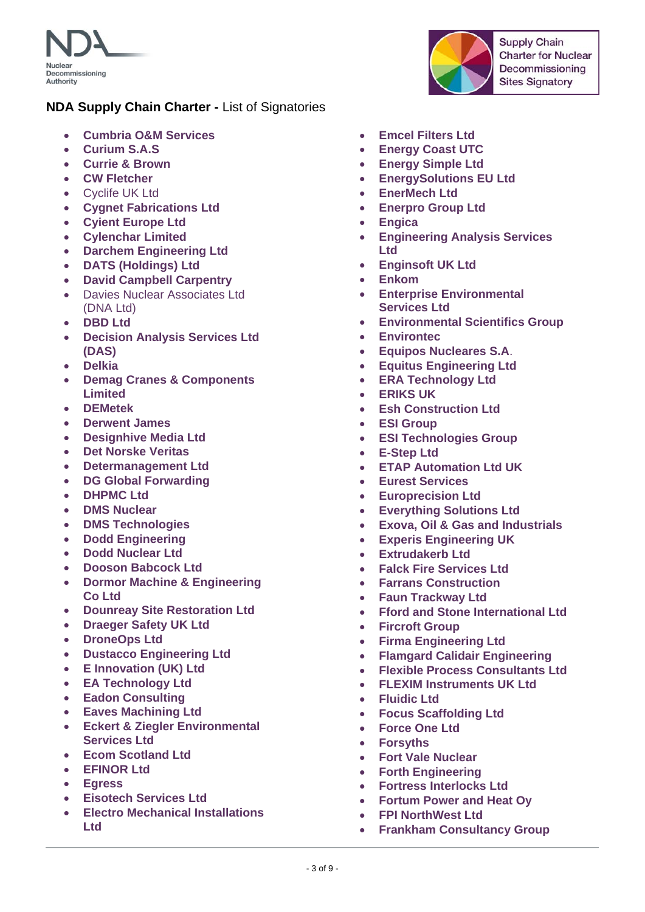

- **Cumbria O&M Services**
- **Curium S.A.S**
- **Currie & Brown**
- **CW Fletcher**
- Cyclife UK Ltd
- **Cygnet Fabrications Ltd**
- **Cyient Europe Ltd**
- **Cylenchar Limited**
- **Darchem Engineering Ltd**
- **DATS (Holdings) Ltd**
- **David Campbell Carpentry**
- Davies Nuclear Associates Ltd (DNA Ltd)
- **DBD Ltd**
- **Decision Analysis Services Ltd (DAS)**
- **Delkia**
- **Demag Cranes & Components Limited**
- **DEMetek**
- **Derwent James**
- **Designhive Media Ltd**
- **Det Norske Veritas**
- **Determanagement Ltd**
- **DG Global Forwarding**
- **DHPMC Ltd**
- **DMS Nuclear**
- **DMS Technologies**
- **Dodd Engineering**
- **Dodd Nuclear Ltd**
- **Dooson Babcock Ltd**
- **Dormor Machine & Engineering Co Ltd**
- **Dounreay Site Restoration Ltd**
- **Draeger Safety UK Ltd**
- **DroneOps Ltd**
- **Dustacco Engineering Ltd**
- **E Innovation (UK) Ltd**
- **EA Technology Ltd**
- **Eadon Consulting**
- **Eaves Machining Ltd**
- **Eckert & Ziegler Environmental Services Ltd**
- **Ecom Scotland Ltd**
- **EFINOR Ltd**
- **Egress**
- **Eisotech Services Ltd**
- **Electro Mechanical Installations Ltd**
- **Emcel Filters Ltd**
- **Energy Coast UTC**
- **Energy Simple Ltd**
- **EnergySolutions EU Ltd**
- **EnerMech Ltd**
- **Enerpro Group Ltd**
- **Engica**
- **Engineering Analysis Services Ltd**
- **Enginsoft UK Ltd**
- **Enkom**
- **Enterprise Environmental Services Ltd**
- **Environmental Scientifics Group**
- **Environtec**
- **Equipos Nucleares S.A**.
- **Equitus Engineering Ltd**
- **ERA Technology Ltd**
- **ERIKS UK**
- **Esh Construction Ltd**
- **ESI Group**
- **ESI Technologies Group**
- **E-Step Ltd**
- **ETAP Automation Ltd UK**
- **Eurest Services**
- **Europrecision Ltd**
- **Everything Solutions Ltd**
- **Exova, Oil & Gas and Industrials**
- **Experis Engineering UK**
- **Extrudakerb Ltd**
- **Falck Fire Services Ltd**
- **Farrans Construction**
- **Faun Trackway Ltd**
- **Fford and Stone International Ltd**
- **Fircroft Group**
- **Firma Engineering Ltd**
- **Flamgard Calidair Engineering**
- **Flexible Process Consultants Ltd**
- **FLEXIM Instruments UK Ltd**
- **Fluidic Ltd**
- **Focus Scaffolding Ltd**
- **Force One Ltd**
- **Forsyths**
- **Fort Vale Nuclear**
- **Forth Engineering**
- **Fortress Interlocks Ltd**
- **Fortum Power and Heat Oy**
- **FPI NorthWest Ltd**
- **Frankham Consultancy Group**

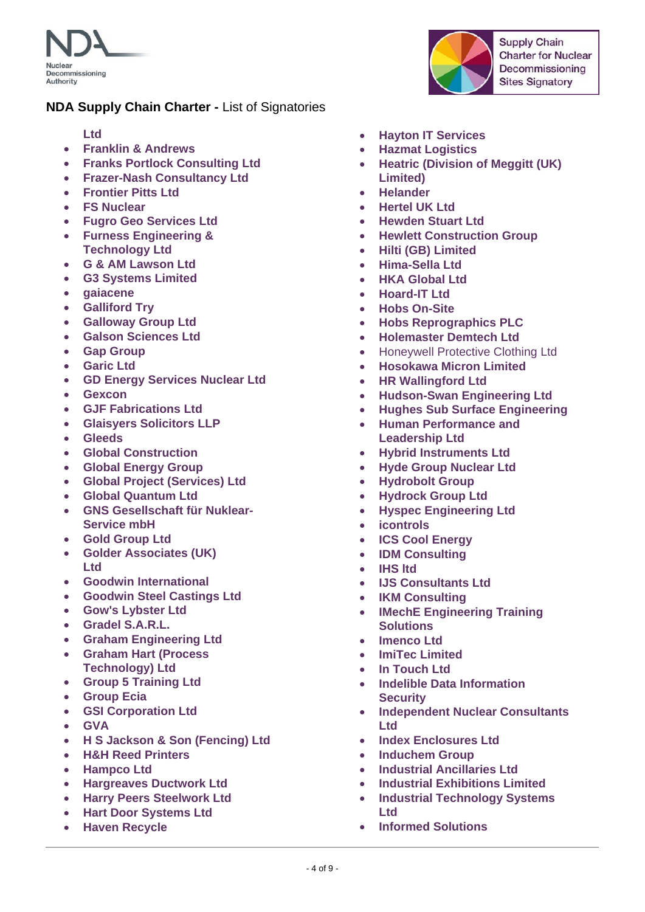

- **Ltd**
- **Franklin & Andrews**
- **Franks Portlock Consulting Ltd**
- **Frazer-Nash Consultancy Ltd**
- **Frontier Pitts Ltd**
- **FS Nuclear**
- **Fugro Geo Services Ltd**
- **Furness Engineering & Technology Ltd**
- **G & AM Lawson Ltd**
- **G3 Systems Limited**
- **gaiacene**
- **Galliford Try**
- **Galloway Group Ltd**
- **Galson Sciences Ltd**
- **Gap Group**
- **Garic Ltd**
- **GD Energy Services Nuclear Ltd**
- **Gexcon**
- **GJF Fabrications Ltd**
- **Glaisyers Solicitors LLP**
- **Gleeds**
- **Global Construction**
- **Global Energy Group**
- **Global Project (Services) Ltd**
- **Global Quantum Ltd**
- **GNS Gesellschaft für Nuklear-Service mbH**
- **Gold Group Ltd**
- **Golder Associates (UK) Ltd**
- **Goodwin International**
- **Goodwin Steel Castings Ltd**
- **Gow's Lybster Ltd**
- **Gradel S.A.R.L.**
- **Graham Engineering Ltd**
- **Graham Hart (Process Technology) Ltd**
- **Group 5 Training Ltd**
- **Group Ecia**
- **GSI Corporation Ltd**
- **GVA**
- **H S Jackson & Son (Fencing) Ltd**
- **H&H Reed Printers**
- **Hampco Ltd**
- **Hargreaves Ductwork Ltd**
- **Harry Peers Steelwork Ltd**
- **Hart Door Systems Ltd**
- **Haven Recycle**
- **Hayton IT Services**
- **Hazmat Logistics**
- **Heatric (Division of Meggitt (UK) Limited)**
- **Helander**
- **Hertel UK Ltd**
- **Hewden Stuart Ltd**
- **Hewlett Construction Group**
- **Hilti (GB) Limited**
- **Hima-Sella Ltd**
- **HKA Global Ltd**
- **Hoard-IT Ltd**
- **Hobs On-Site**
- **Hobs Reprographics PLC**
- **Holemaster Demtech Ltd**
- Honeywell Protective Clothing Ltd
- **Hosokawa Micron Limited**
- **HR Wallingford Ltd**
- **Hudson-Swan Engineering Ltd**
- **Hughes Sub Surface Engineering**
- **Human Performance and Leadership Ltd**
- **Hybrid Instruments Ltd**
- **Hyde Group Nuclear Ltd**
- **Hydrobolt Group**
- **Hydrock Group Ltd**
- **Hyspec Engineering Ltd**
- **icontrols**
- **ICS Cool Energy**
- **IDM Consulting**
- **IHS ltd**
- **IJS Consultants Ltd**
- **IKM Consulting**
- **IMechE Engineering Training Solutions**
- **Imenco Ltd**
- **ImiTec Limited**
- **In Touch Ltd**
- **Indelible Data Information Security**
- **Independent Nuclear Consultants Ltd**
- **Index Enclosures Ltd**
- **Induchem Group**
- **Industrial Ancillaries Ltd**
- **Industrial Exhibitions Limited**
- **Industrial Technology Systems Ltd**
- **Informed Solutions**

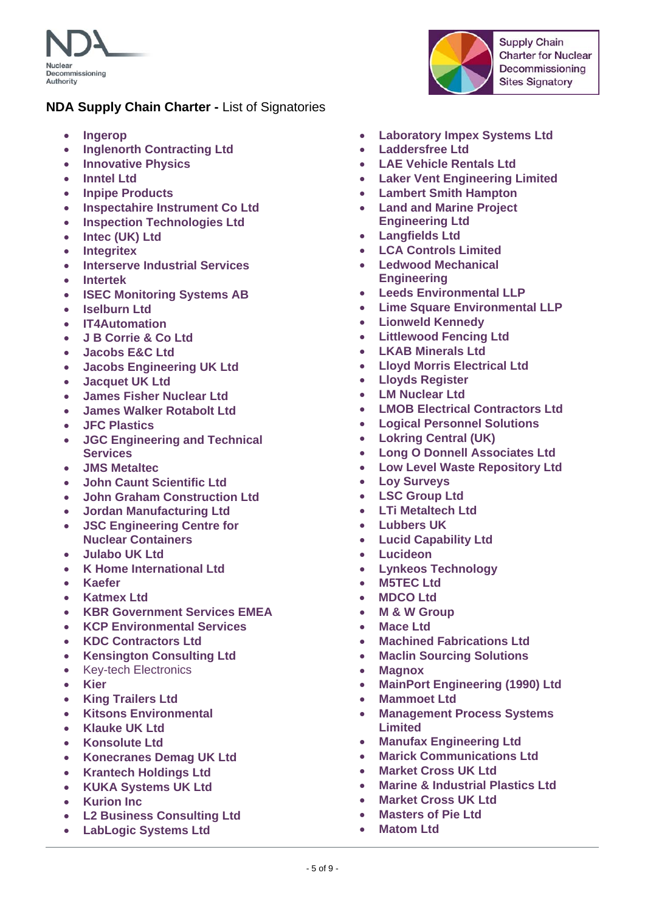

- **Ingerop**
- **Inglenorth Contracting Ltd**
- **Innovative Physics**
- **Inntel Ltd**
- **Inpipe Products**
- **Inspectahire Instrument Co Ltd**
- **Inspection Technologies Ltd**
- **Intec (UK) Ltd**
- **•** Integritex
- **Interserve Industrial Services**
- **Intertek**
- **ISEC Monitoring Systems AB**
- **Iselburn Ltd**
- **IT4Automation**
- **J B Corrie & Co Ltd**
- **Jacobs E&C Ltd**
- **Jacobs Engineering UK Ltd**
- **Jacquet UK Ltd**
- **James Fisher Nuclear Ltd**
- **James Walker Rotabolt Ltd**
- **JFC Plastics**
- **JGC Engineering and Technical Services**
- **JMS Metaltec**
- **John Caunt Scientific Ltd**
- **John Graham Construction Ltd**
- **Jordan Manufacturing Ltd**
- **JSC Engineering Centre for Nuclear Containers**
- **Julabo UK Ltd**
- **K Home International Ltd**
- **Kaefer**
- **Katmex Ltd**
- **KBR Government Services EMEA**
- **KCP Environmental Services**
- **KDC Contractors Ltd**
- **Kensington Consulting Ltd**
- Key-tech Electronics
- **Kier**
- **King Trailers Ltd**
- **Kitsons Environmental**
- **Klauke UK Ltd**
- **Konsolute Ltd**
- **Konecranes Demag UK Ltd**
- **Krantech Holdings Ltd**
- **KUKA Systems UK Ltd**
- **Kurion Inc**
- **L2 Business Consulting Ltd**
- **LabLogic Systems Ltd**
- **Laboratory Impex Systems Ltd**
- **Laddersfree Ltd**
- **LAE Vehicle Rentals Ltd**
- **Laker Vent Engineering Limited**
- **Lambert Smith Hampton**
- **Land and Marine Project Engineering Ltd**
- **Langfields Ltd**
- **LCA Controls Limited**
- **Ledwood Mechanical Engineering**
- **Leeds Environmental LLP**
- **Lime Square Environmental LLP**
- **Lionweld Kennedy**
- **Littlewood Fencing Ltd**
- **LKAB Minerals Ltd**
- **Lloyd Morris Electrical Ltd**
- **Lloyds Register**
- **LM Nuclear Ltd**
- **LMOB Electrical Contractors Ltd**
- **Logical Personnel Solutions**
- **Lokring Central (UK)**
- **Long O Donnell Associates Ltd**
- **Low Level Waste Repository Ltd**
- **Loy Surveys**
- **LSC Group Ltd**
- **LTi Metaltech Ltd**
- **Lubbers UK**
- **Lucid Capability Ltd**
- **Lucideon**
- **Lynkeos Technology**
- **M5TEC Ltd**
- **MDCO Ltd**
- **M & W Group**
- **Mace Ltd**
- **Machined Fabrications Ltd**
- **Maclin Sourcing Solutions**
- **Magnox**
- **MainPort Engineering (1990) Ltd**
- **Mammoet Ltd**
- **Management Process Systems Limited**
- **Manufax Engineering Ltd**
- **Marick Communications Ltd**
- **Market Cross UK Ltd**
- **Marine & Industrial Plastics Ltd**
- **Market Cross UK Ltd**
- **Masters of Pie Ltd**
- **Matom Ltd**

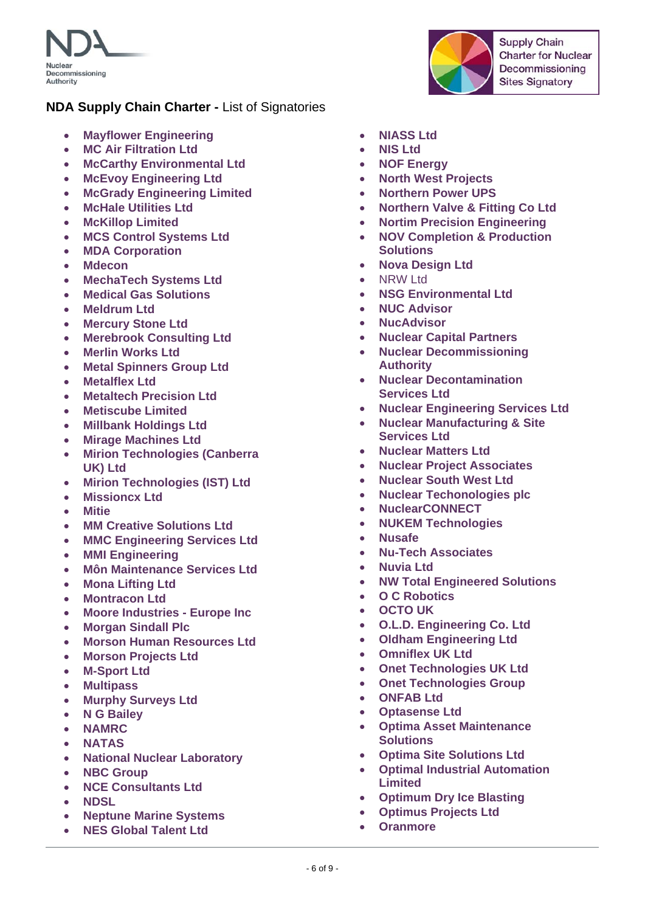



- **Mayflower Engineering**
- **MC Air Filtration Ltd**
- **McCarthy Environmental Ltd**
- **McEvoy Engineering Ltd**
- **McGrady Engineering Limited**
- **McHale Utilities Ltd**
- **McKillop Limited**
- **MCS Control Systems Ltd**
- **MDA Corporation**
- **Mdecon**
- **MechaTech Systems Ltd**
- **Medical Gas Solutions**
- **Meldrum Ltd**
- **Mercury Stone Ltd**
- **Merebrook Consulting Ltd**
- **Merlin Works Ltd**
- **Metal Spinners Group Ltd**
- **Metalflex Ltd**
- **Metaltech Precision Ltd**
- **Metiscube Limited**
- **Millbank Holdings Ltd**
- **Mirage Machines Ltd**
- **Mirion Technologies (Canberra UK) Ltd**
- **Mirion Technologies (IST) Ltd**
- **Missioncx Ltd**
- **Mitie**
- **MM Creative Solutions Ltd**
- **MMC Engineering Services Ltd**
- **MMI Engineering**
- **Môn Maintenance Services Ltd**
- **Mona Lifting Ltd**
- **Montracon Ltd**
- **Moore Industries Europe Inc**
- **Morgan Sindall Plc**
- **Morson Human Resources Ltd**
- **Morson Projects Ltd**
- **M-Sport Ltd**
- **Multipass**
- **Murphy Surveys Ltd**
- **N G Bailey**
- **NAMRC**
- **NATAS**
- **National Nuclear Laboratory**
- **NBC Group**
- **NCE Consultants Ltd**
- **NDSL**
- **Neptune Marine Systems**
- **NES Global Talent Ltd**
- **NIASS Ltd**
- **NIS Ltd**
- **NOF Energy**
- **North West Projects**
- **Northern Power UPS**
- **Northern Valve & Fitting Co Ltd**
- **Nortim Precision Engineering**
- **NOV Completion & Production Solutions**
- **Nova Design Ltd**
- NRW Ltd
- **NSG Environmental Ltd**
- **NUC Advisor**
- **NucAdvisor**
- **Nuclear Capital Partners**
- **Nuclear Decommissioning Authority**
- **Nuclear Decontamination Services Ltd**
- **Nuclear Engineering Services Ltd**
- **Nuclear Manufacturing & Site Services Ltd**
- **Nuclear Matters Ltd**
- **Nuclear Project Associates**
- **Nuclear South West Ltd**
- **Nuclear Techonologies plc**
- **NuclearCONNECT**
- **NUKEM Technologies**
- **Nusafe**
- **Nu-Tech Associates**
- **Nuvia Ltd**
- **NW Total Engineered Solutions**
- **O C Robotics**
- **OCTO UK**
- **O.L.D. Engineering Co. Ltd**
- **Oldham Engineering Ltd**
- **Omniflex UK Ltd**
- **Onet Technologies UK Ltd**
- **Onet Technologies Group**
- **ONFAB Ltd**
- **Optasense Ltd**
- **Optima Asset Maintenance Solutions**
- **Optima Site Solutions Ltd**
- **Optimal Industrial Automation Limited**
- **Optimum Dry Ice Blasting**
- **Optimus Projects Ltd**
- **Oranmore**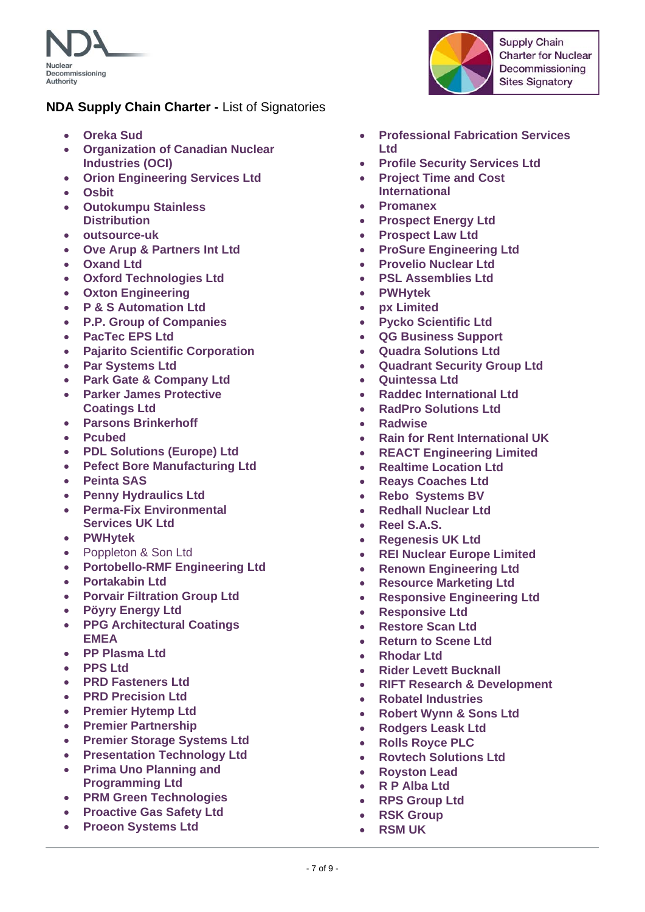

- **Oreka Sud**
- **Organization of Canadian Nuclear Industries (OCI)**
- **Orion Engineering Services Ltd**
- **Osbit**
- **Outokumpu Stainless Distribution**
- **outsource-uk**
- **Ove Arup & Partners Int Ltd**
- **Oxand Ltd**
- **Oxford Technologies Ltd**
- **Oxton Engineering**
- **P & S Automation Ltd**
- **P.P. Group of Companies**
- **PacTec EPS Ltd**
- **Pajarito Scientific Corporation**
- **Par Systems Ltd**
- **Park Gate & Company Ltd**
- **Parker James Protective Coatings Ltd**
- **Parsons Brinkerhoff**
- **Pcubed**
- **PDL Solutions (Europe) Ltd**
- **Pefect Bore Manufacturing Ltd**
- **Peinta SAS**
- **Penny Hydraulics Ltd**
- **Perma-Fix Environmental Services UK Ltd**
- **PWHytek**
- Poppleton & Son Ltd
- **Portobello-RMF Engineering Ltd**
- **Portakabin Ltd**
- **Porvair Filtration Group Ltd**
- **Pöyry Energy Ltd**
- **PPG Architectural Coatings EMEA**
- **PP Plasma Ltd**
- **PPS Ltd**
- **PRD Fasteners Ltd**
- **PRD Precision Ltd**
- **Premier Hytemp Ltd**
- **Premier Partnership**
- **Premier Storage Systems Ltd**
- **Presentation Technology Ltd**
- **Prima Uno Planning and Programming Ltd**
- **PRM Green Technologies**
- **Proactive Gas Safety Ltd**
- **Proeon Systems Ltd**



- **Professional Fabrication Services Ltd**
- **Profile Security Services Ltd**
- **Project Time and Cost International**
- **Promanex**
- **Prospect Energy Ltd**
- **Prospect Law Ltd**
- **ProSure Engineering Ltd**
- **Provelio Nuclear Ltd**
- **PSL Assemblies Ltd**
- **PWHytek**
- **px Limited**
- **Pycko Scientific Ltd**
- **QG Business Support**
- **Quadra Solutions Ltd**
- **Quadrant Security Group Ltd**
- **Quintessa Ltd**
- **Raddec International Ltd**
- **RadPro Solutions Ltd**
- **Radwise**
- **Rain for Rent International UK**
- **REACT Engineering Limited**
- **•** Realtime Location Ltd
- **Reays Coaches Ltd**
- **Rebo Systems BV**
- **Redhall Nuclear Ltd**
- **Reel S.A.S.**
- **Regenesis UK Ltd**
- **REI Nuclear Europe Limited**
- **Renown Engineering Ltd**
- **Resource Marketing Ltd**
- **Responsive Engineering Ltd**
- **Responsive Ltd**
- **Restore Scan Ltd**
- **Return to Scene Ltd**
- **Rhodar Ltd**
- **Rider Levett Bucknall**
- **RIFT Research & Development**
- **Robatel Industries**
- **Robert Wynn & Sons Ltd**
- **Rodgers Leask Ltd**
- **Rolls Royce PLC**
- **Rovtech Solutions Ltd**
- **Royston Lead**
- **R P Alba Ltd**
- **RPS Group Ltd**
- **RSK Group**
- **RSM UK**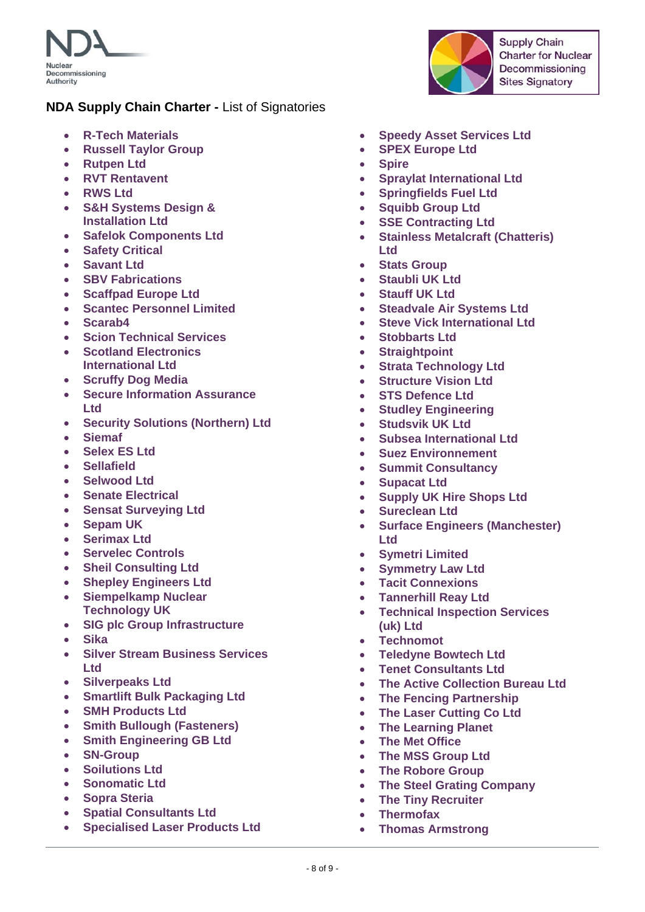

- **R-Tech Materials**
- **Russell Taylor Group**
- **Rutpen Ltd**
- **RVT Rentavent**
- **RWS Ltd**
- **S&H Systems Design & Installation Ltd**
- **Safelok Components Ltd**
- **Safety Critical**
- **Savant Ltd**
- **SBV Fabrications**
- **Scaffpad Europe Ltd**
- **Scantec Personnel Limited**
- **Scarab4**
- **Scion Technical Services**
- **Scotland Electronics International Ltd**
- **Scruffy Dog Media**
- **Secure Information Assurance Ltd**
- **Security Solutions (Northern) Ltd**
- **Siemaf**
- **Selex ES Ltd**
- **Sellafield**
- **Selwood Ltd**
- **Senate Electrical**
- **Sensat Surveying Ltd**
- **Sepam UK**
- **Serimax Ltd**
- **Servelec Controls**
- **Sheil Consulting Ltd**
- **Shepley Engineers Ltd**
- **Siempelkamp Nuclear Technology UK**
- **SIG plc Group Infrastructure**
- **Sika**
- **Silver Stream Business Services Ltd**
- **Silverpeaks Ltd**
- **Smartlift Bulk Packaging Ltd**
- **SMH Products Ltd**
- **Smith Bullough (Fasteners)**
- **Smith Engineering GB Ltd**
- **SN-Group**
- **Soilutions Ltd**
- **Sonomatic Ltd**
- **Sopra Steria**
- **Spatial Consultants Ltd**
- **Specialised Laser Products Ltd**
- **Speedy Asset Services Ltd**
- **SPEX Europe Ltd**
- **Spire**
- **Spraylat International Ltd**
- **Springfields Fuel Ltd**
- **Squibb Group Ltd**
- **SSE Contracting Ltd**
- **Stainless Metalcraft (Chatteris) Ltd**
- **Stats Group**
- **Staubli UK Ltd**
- **Stauff UK Ltd**
- **Steadvale Air Systems Ltd**
- **Steve Vick International Ltd**
- **Stobbarts Ltd**
- **Straightpoint**
- **Strata Technology Ltd**
- **Structure Vision Ltd**
- **STS Defence Ltd**
- **Studley Engineering**
- **Studsvik UK Ltd**
- **•** Subsea International Ltd
- **Suez Environnement**
- **Summit Consultancy**
- **Supacat Ltd**
- **Supply UK Hire Shops Ltd**
- **Sureclean Ltd**
- **Surface Engineers (Manchester) Ltd**
- **Symetri Limited**
- **Symmetry Law Ltd**
- **Tacit Connexions**
- **Tannerhill Reay Ltd**
- **Technical Inspection Services (uk) Ltd**
- **Technomot**
- **Teledyne Bowtech Ltd**
- **Tenet Consultants Ltd**
- **The Active Collection Bureau Ltd**
- **The Fencing Partnership**
- **The Laser Cutting Co Ltd**
- **The Learning Planet**
- **The Met Office**
- **The MSS Group Ltd**
- **The Robore Group**
- **The Steel Grating Company**
- **The Tiny Recruiter**
- **Thermofax**
- **Thomas Armstrong**